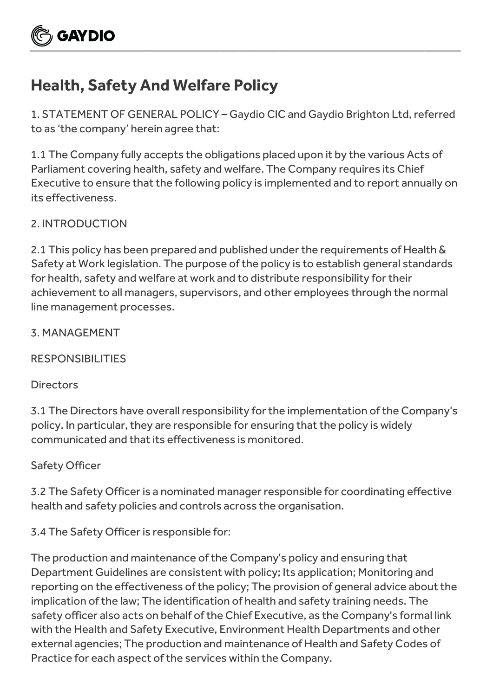

# **Health, Safety And Welfare Policy**

1. STATEMENT OF GENERAL POLICY – Gaydio CIC and Gaydio Brighton Ltd, referred to as 'the company' herein agree that:

1.1 The Company fully accepts the obligations placed upon it by the various Acts of Parliament covering health, safety and welfare. The Company requires its Chief Executive to ensure that the following policy is implemented and to report annually on its effectiveness.

## 2. INTRODUCTION

2.1 This policy has been prepared and published under the requirements of Health & Safety at Work legislation. The purpose of the policy is to establish general standards for health, safety and welfare at work and to distribute responsibility for their achievement to all managers, supervisors, and other employees through the normal line management processes.

3. MANAGEMENT

RESPONSIBILITIES

## **Directors**

3.1 The Directors have overall responsibility for the implementation of the Company's policy. In particular, they are responsible for ensuring that the policy is widely communicated and that its effectiveness is monitored.

## Safety Officer

3.2 The Safety Officer is a nominated manager responsible for coordinating effective health and safety policies and controls across the organisation.

3.4 The Safety Officer is responsible for:

The production and maintenance of the Company's policy and ensuring that Department Guidelines are consistent with policy; Its application; Monitoring and reporting on the effectiveness of the policy; The provision of general advice about the implication of the law; The identification of health and safety training needs. The safety officer also acts on behalf of the Chief Executive, as the Company's formal link with the Health and Safety Executive, Environment Health Departments and other external agencies; The production and maintenance of Health and Safety Codes of Practice for each aspect of the services within the Company.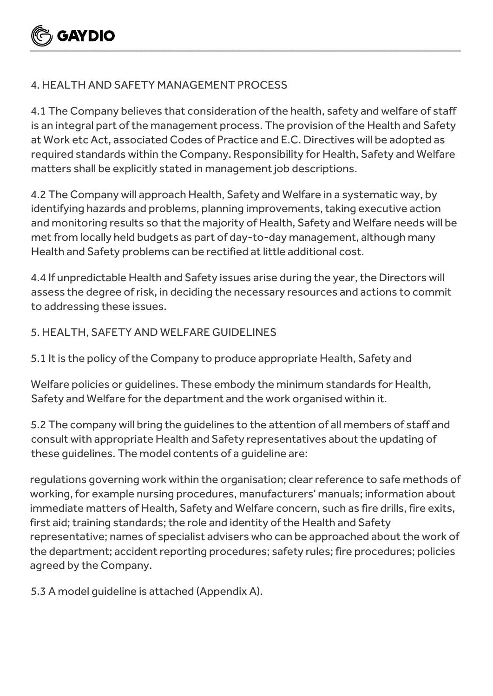

## 4. HEALTH AND SAFETY MANAGEMENT PROCESS

4.1 The Company believes that consideration of the health, safety and welfare of staff is an integral part of the management process. The provision of the Health and Safety at Work etc Act, associated Codes of Practice and E.C. Directives will be adopted as required standards within the Company. Responsibility for Health, Safety and Welfare matters shall be explicitly stated in management job descriptions.

4.2 The Company will approach Health, Safety and Welfare in a systematic way, by identifying hazards and problems, planning improvements, taking executive action and monitoring results so that the majority of Health, Safety and Welfare needs will be met from locally held budgets as part of day-to-day management, although many Health and Safety problems can be rectified at little additional cost.

4.4 If unpredictable Health and Safety issues arise during the year, the Directors will assess the degree of risk, in deciding the necessary resources and actions to commit to addressing these issues.

#### 5. HEALTH, SAFETY AND WELFARE GUIDELINES

5.1 It is the policy of the Company to produce appropriate Health, Safety and

Welfare policies or guidelines. These embody the minimum standards for Health, Safety and Welfare for the department and the work organised within it.

5.2 The company will bring the guidelines to the attention of all members of staff and consult with appropriate Health and Safety representatives about the updating of these guidelines. The model contents of a guideline are:

regulations governing work within the organisation; clear reference to safe methods of working, for example nursing procedures, manufacturers' manuals; information about immediate matters of Health, Safety and Welfare concern, such as fire drills, fire exits, first aid; training standards; the role and identity of the Health and Safety representative; names of specialist advisers who can be approached about the work of the department; accident reporting procedures; safety rules; fire procedures; policies agreed by the Company.

5.3 A model guideline is attached (Appendix A).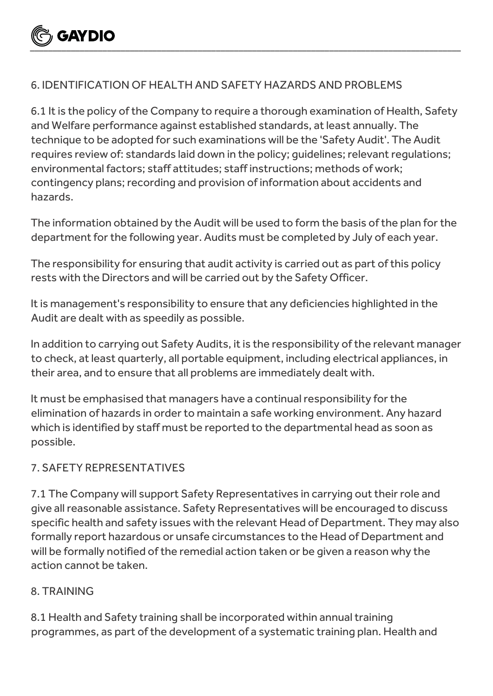

## 6. IDENTIFICATION OF HEALTH AND SAFETY HAZARDS AND PROBLEMS

6.1 It is the policy of the Company to require a thorough examination of Health, Safety and Welfare performance against established standards, at least annually. The technique to be adopted for such examinations will be the 'Safety Audit'. The Audit requires review of: standards laid down in the policy; guidelines; relevant regulations; environmental factors; staff attitudes; staff instructions; methods of work; contingency plans; recording and provision of information about accidents and hazards.

The information obtained by the Audit will be used to form the basis of the plan for the department for the following year. Audits must be completed by July of each year.

The responsibility for ensuring that audit activity is carried out as part of this policy rests with the Directors and will be carried out by the Safety Officer.

It is management's responsibility to ensure that any deficiencies highlighted in the Audit are dealt with as speedily as possible.

In addition to carrying out Safety Audits, it is the responsibility of the relevant manager to check, at least quarterly, all portable equipment, including electrical appliances, in their area, and to ensure that all problems are immediately dealt with.

It must be emphasised that managers have a continual responsibility for the elimination of hazards in order to maintain a safe working environment. Any hazard which is identified by staff must be reported to the departmental head as soon as possible.

## 7. SAFETY REPRESENTATIVES

7.1 The Company will support Safety Representatives in carrying out their role and give all reasonable assistance. Safety Representatives will be encouraged to discuss specific health and safety issues with the relevant Head of Department. They may also formally report hazardous or unsafe circumstances to the Head of Department and will be formally notified of the remedial action taken or be given a reason why the action cannot be taken.

## 8. TRAINING

8.1 Health and Safety training shall be incorporated within annual training programmes, as part of the development of a systematic training plan. Health and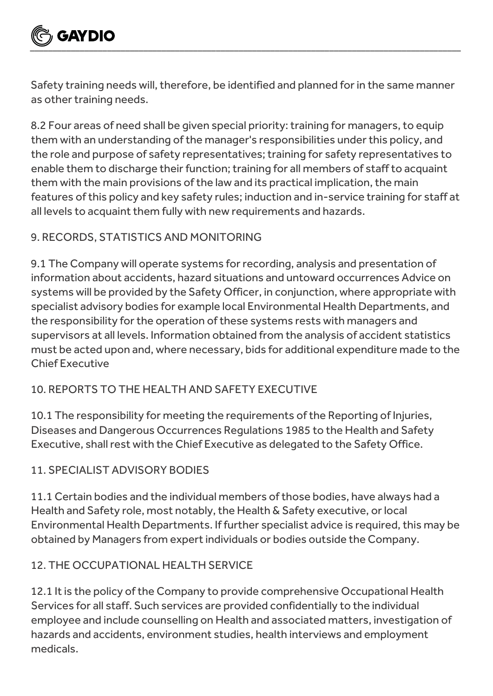

Safety training needs will, therefore, be identified and planned for in the same manner as other training needs.

8.2 Four areas of need shall be given special priority: training for managers, to equip them with an understanding of the manager's responsibilities under this policy, and the role and purpose of safety representatives; training for safety representatives to enable them to discharge their function; training for all members of staff to acquaint them with the main provisions of the law and its practical implication, the main features of this policy and key safety rules; induction and in-service training for staff at all levels to acquaint them fully with new requirements and hazards.

# 9. RECORDS, STATISTICS AND MONITORING

9.1 The Company will operate systems for recording, analysis and presentation of information about accidents, hazard situations and untoward occurrences Advice on systems will be provided by the Safety Officer, in conjunction, where appropriate with specialist advisory bodies for example local Environmental Health Departments, and the responsibility for the operation of these systems rests with managers and supervisors at all levels. Information obtained from the analysis of accident statistics must be acted upon and, where necessary, bids for additional expenditure made to the Chief Executive

## 10. REPORTS TO THE HEALTH AND SAFETY EXECUTIVE

10.1 The responsibility for meeting the requirements of the Reporting of Injuries, Diseases and Dangerous Occurrences Regulations 1985 to the Health and Safety Executive, shall rest with the Chief Executive as delegated to the Safety Office.

## 11. SPECIALIST ADVISORY BODIES

11.1 Certain bodies and the individual members of those bodies, have always had a Health and Safety role, most notably, the Health & Safety executive, or local Environmental Health Departments. If further specialist advice is required, this may be obtained by Managers from expert individuals or bodies outside the Company.

## 12. THE OCCUPATIONAL HEALTH SERVICE

12.1 It is the policy of the Company to provide comprehensive Occupational Health Services for all staff. Such services are provided confidentially to the individual employee and include counselling on Health and associated matters, investigation of hazards and accidents, environment studies, health interviews and employment medicals.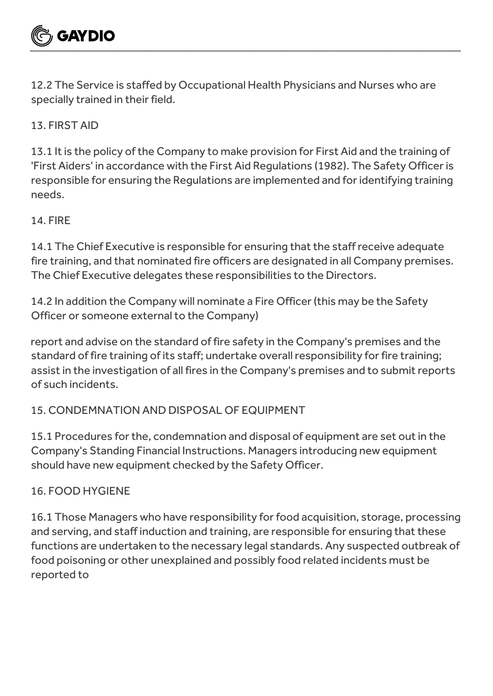12.2 The Service is staffed by Occupational Health Physicians and Nurses who are specially trained in their field.

13. FIRST AID

13.1 It is the policy of the Company to make provision for First Aid and the training of 'First Aiders' in accordance with the First Aid Regulations (1982). The Safety Officer is responsible for ensuring the Regulations are implemented and for identifying training needs.

# 14. FIRE

14.1 The Chief Executive is responsible for ensuring that the staff receive adequate fire training, and that nominated fire officers are designated in all Company premises. The Chief Executive delegates these responsibilities to the Directors.

14.2 In addition the Company will nominate a Fire Officer (this may be the Safety Officer or someone external to the Company)

report and advise on the standard of fire safety in the Company's premises and the standard of fire training of its staff; undertake overall responsibility for fire training; assist in the investigation of all fires in the Company's premises and to submit reports of such incidents.

# 15. CONDEMNATION AND DISPOSAL OF EQUIPMENT

15.1 Procedures for the, condemnation and disposal of equipment are set out in the Company's Standing Financial Instructions. Managers introducing new equipment should have new equipment checked by the Safety Officer.

## 16. FOOD HYGIENE

16.1 Those Managers who have responsibility for food acquisition, storage, processing and serving, and staff induction and training, are responsible for ensuring that these functions are undertaken to the necessary legal standards. Any suspected outbreak of food poisoning or other unexplained and possibly food related incidents must be reported to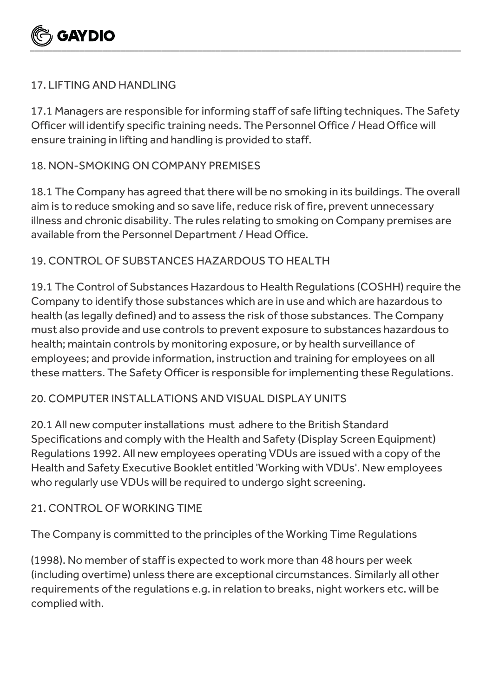

## 17. LIFTING AND HANDLING

17.1 Managers are responsible for informing staff of safe lifting techniques. The Safety Officer will identify specific training needs. The Personnel Office / Head Office will ensure training in lifting and handling is provided to staff.

#### 18. NON-SMOKING ON COMPANY PREMISES

18.1 The Company has agreed that there will be no smoking in its buildings. The overall aim is to reduce smoking and so save life, reduce risk of fire, prevent unnecessary illness and chronic disability. The rules relating to smoking on Company premises are available from the Personnel Department / Head Office.

## 19. CONTROL OF SUBSTANCES HAZARDOUS TO HEALTH

19.1 The Control of Substances Hazardous to Health Regulations (COSHH) require the Company to identify those substances which are in use and which are hazardous to health (as legally defined) and to assess the risk of those substances. The Company must also provide and use controls to prevent exposure to substances hazardous to health; maintain controls by monitoring exposure, or by health surveillance of employees; and provide information, instruction and training for employees on all these matters. The Safety Officer is responsible for implementing these Regulations.

## 20. COMPUTER INSTALLATIONS AND VISUAL DISPLAY UNITS

20.1 All new computer installations must adhere to the British Standard Specifications and comply with the Health and Safety (Display Screen Equipment) Regulations 1992. All new employees operating VDUs are issued with a copy of the Health and Safety Executive Booklet entitled 'Working with VDUs'. New employees who regularly use VDUs will be required to undergo sight screening.

## 21. CONTROL OF WORKING TIME

The Company is committed to the principles of the Working Time Regulations

(1998). No member of staff is expected to work more than 48 hours per week (including overtime) unless there are exceptional circumstances. Similarly all other requirements of the regulations e.g. in relation to breaks, night workers etc. will be complied with.